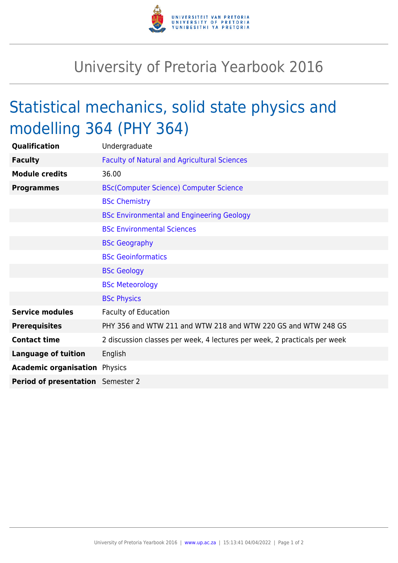

## University of Pretoria Yearbook 2016

## Statistical mechanics, solid state physics and modelling 364 (PHY 364)

| Qualification                        | Undergraduate                                                             |
|--------------------------------------|---------------------------------------------------------------------------|
| <b>Faculty</b>                       | <b>Faculty of Natural and Agricultural Sciences</b>                       |
| <b>Module credits</b>                | 36.00                                                                     |
| <b>Programmes</b>                    | <b>BSc(Computer Science) Computer Science</b>                             |
|                                      | <b>BSc Chemistry</b>                                                      |
|                                      | <b>BSc Environmental and Engineering Geology</b>                          |
|                                      | <b>BSc Environmental Sciences</b>                                         |
|                                      | <b>BSc Geography</b>                                                      |
|                                      | <b>BSc Geoinformatics</b>                                                 |
|                                      | <b>BSc Geology</b>                                                        |
|                                      | <b>BSc Meteorology</b>                                                    |
|                                      | <b>BSc Physics</b>                                                        |
| <b>Service modules</b>               | <b>Faculty of Education</b>                                               |
| <b>Prerequisites</b>                 | PHY 356 and WTW 211 and WTW 218 and WTW 220 GS and WTW 248 GS             |
| <b>Contact time</b>                  | 2 discussion classes per week, 4 lectures per week, 2 practicals per week |
| <b>Language of tuition</b>           | English                                                                   |
| <b>Academic organisation Physics</b> |                                                                           |
| Period of presentation Semester 2    |                                                                           |